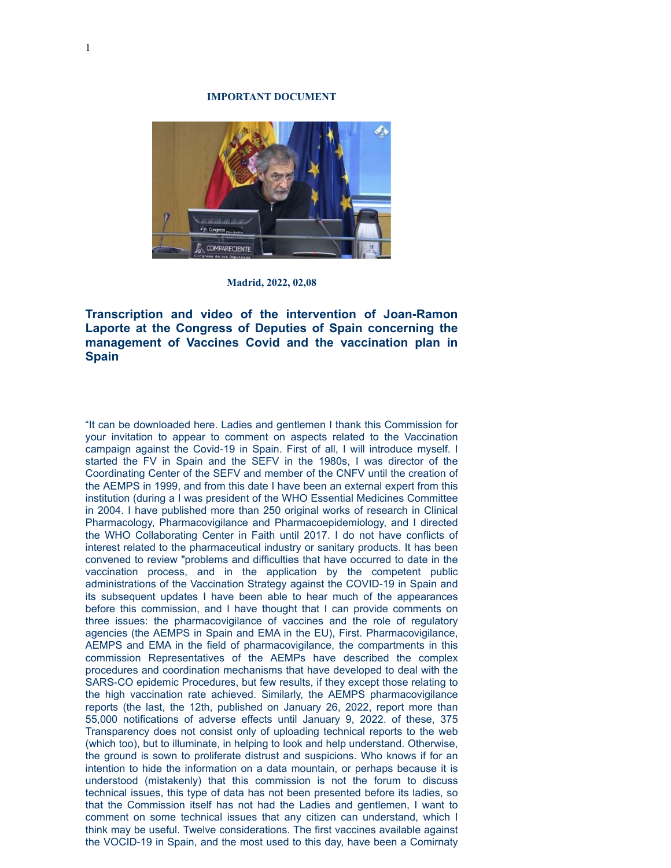## **IMPORTANT DOCUMENT**



**Madrid, 2022, 02,08**

**Transcription and video of the intervention of Joan-Ramon Laporte at the Congress of Deputies of Spain concerning the management of Vaccines Covid and the vaccination plan in Spain**

"It can be downloaded here. Ladies and gentlemen I thank this Commission for your invitation to appear to comment on aspects related to the Vaccination campaign against the Covid-19 in Spain. First of all, I will introduce myself. I started the FV in Spain and the SEFV in the 1980s, I was director of the Coordinating Center of the SEFV and member of the CNFV until the creation of the AEMPS in 1999, and from this date I have been an external expert from this institution (during a I was president of the WHO Essential Medicines Committee in 2004. I have published more than 250 original works of research in Clinical Pharmacology, Pharmacovigilance and Pharmacoepidemiology, and I directed the WHO Collaborating Center in Faith until 2017. I do not have conflicts of interest related to the pharmaceutical industry or sanitary products. It has been convened to review "problems and difficulties that have occurred to date in the vaccination process, and in the application by the competent public administrations of the Vaccination Strategy against the COVID-19 in Spain and its subsequent updates I have been able to hear much of the appearances before this commission, and I have thought that I can provide comments on three issues: the pharmacovigilance of vaccines and the role of regulatory agencies (the AEMPS in Spain and EMA in the EU), First. Pharmacovigilance, AEMPS and EMA in the field of pharmacovigilance, the compartments in this commission Representatives of the AEMPs have described the complex procedures and coordination mechanisms that have developed to deal with the SARS-CO epidemic Procedures, but few results, if they except those relating to the high vaccination rate achieved. Similarly, the AEMPS pharmacovigilance reports (the last, the 12th, published on January 26, 2022, report more than 55,000 notifications of adverse effects until January 9, 2022. of these, 375 Transparency does not consist only of uploading technical reports to the web (which too), but to illuminate, in helping to look and help understand. Otherwise, the ground is sown to proliferate distrust and suspicions. Who knows if for an intention to hide the information on a data mountain, or perhaps because it is understood (mistakenly) that this commission is not the forum to discuss technical issues, this type of data has not been presented before its ladies, so that the Commission itself has not had the Ladies and gentlemen, I want to comment on some technical issues that any citizen can understand, which I think may be useful. Twelve considerations. The first vaccines available against the VOCID-19 in Spain, and the most used to this day, have been a Comirnaty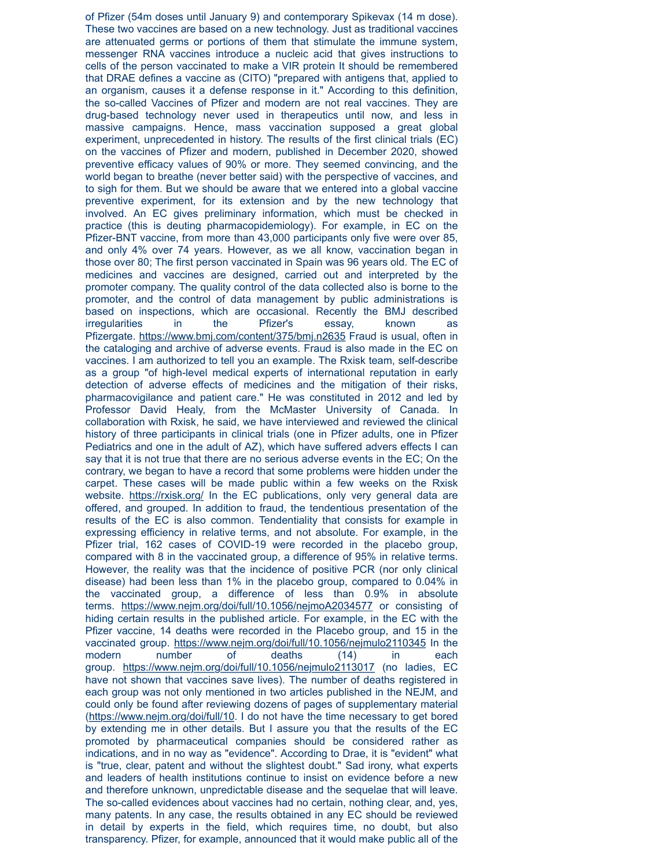of Pfizer (54m doses until January 9) and contemporary Spikevax (14 m dose). These two vaccines are based on a new technology. Just as traditional vaccines are attenuated germs or portions of them that stimulate the immune system, messenger RNA vaccines introduce a nucleic acid that gives instructions to cells of the person vaccinated to make a VIR protein It should be remembered that DRAE defines a vaccine as (CITO) "prepared with antigens that, applied to an organism, causes it a defense response in it." According to this definition, the so-called Vaccines of Pfizer and modern are not real vaccines. They are drug-based technology never used in therapeutics until now, and less in massive campaigns. Hence, mass vaccination supposed a great global experiment, unprecedented in history. The results of the first clinical trials (EC) on the vaccines of Pfizer and modern, published in December 2020, showed preventive efficacy values of 90% or more. They seemed convincing, and the world began to breathe (never better said) with the perspective of vaccines, and to sigh for them. But we should be aware that we entered into a global vaccine preventive experiment, for its extension and by the new technology that involved. An EC gives preliminary information, which must be checked in practice (this is deuting pharmacopidemiology). For example, in EC on the Pfizer-BNT vaccine, from more than 43,000 participants only five were over 85, and only 4% over 74 years. However, as we all know, vaccination began in those over 80; The first person vaccinated in Spain was 96 years old. The EC of medicines and vaccines are designed, carried out and interpreted by the promoter company. The quality control of the data collected also is borne to the promoter, and the control of data management by public administrations is based on inspections, which are occasional. Recently the BMJ described irregularities in the Pfizer's essay, known as Pfizergate. [https://www.bmj.com/content/375/bmj.n2635](https://www.bmj.com/content/375/bmj.n2635%20/t%20_blank) Fraud is usual, often in the cataloging and archive of adverse events. Fraud is also made in the EC on vaccines. I am authorized to tell you an example. The Rxisk team, self-describe as a group "of high-level medical experts of international reputation in early detection of adverse effects of medicines and the mitigation of their risks, pharmacovigilance and patient care." He was constituted in 2012 and led by Professor David Healy, from the McMaster University of Canada. In collaboration with Rxisk, he said, we have interviewed and reviewed the clinical history of three participants in clinical trials (one in Pfizer adults, one in Pfizer Pediatrics and one in the adult of AZ), which have suffered advers effects I can say that it is not true that there are no serious adverse events in the EC; On the contrary, we began to have a record that some problems were hidden under the carpet. These cases will be made public within a few weeks on the Rxisk website. [https://rxisk.org/](https://rxisk.org/%20/t%20_blank) In the EC publications, only very general data are offered, and grouped. In addition to fraud, the tendentious presentation of the results of the EC is also common. Tendentiality that consists for example in expressing efficiency in relative terms, and not absolute. For example, in the Pfizer trial, 162 cases of COVID-19 were recorded in the placebo group, compared with 8 in the vaccinated group, a difference of 95% in relative terms. However, the reality was that the incidence of positive PCR (nor only clinical disease) had been less than 1% in the placebo group, compared to 0.04% in the vaccinated group, a difference of less than 0.9% in absolute terms. [https://www.nejm.org/doi/full/10.1056/nejmoA2034577](https://www.nejm.org/doi/full/10.1056/nejmoA2034577%20/t%20_blank) or consisting of hiding certain results in the published article. For example, in the EC with the Pfizer vaccine, 14 deaths were recorded in the Placebo group, and 15 in the vaccinated group. [https://www.nejm.org/doi/full/10.1056/nejmulo2110345](https://www.nejm.org/doi/full/10.1056/nejmulo2110345%20/t%20_blank) In the modern number of deaths (14) in each group. [https://www.nejm.org/doi/full/10.1056/nejmulo2113017](https://www.nejm.org/doi/full/10.1056/nejmulo2113017%20/t%20_blank) (no ladies, EC have not shown that vaccines save lives). The number of deaths registered in each group was not only mentioned in two articles published in the NEJM, and could only be found after reviewing dozens of pages of supplementary material [\(https://www.nejm.org/doi/full/10](https://www.nejm.org/doi/full/10%20/t%20_blank). I do not have the time necessary to get bored by extending me in other details. But I assure you that the results of the EC promoted by pharmaceutical companies should be considered rather as indications, and in no way as "evidence". According to Drae, it is "evident" what is "true, clear, patent and without the slightest doubt." Sad irony, what experts and leaders of health institutions continue to insist on evidence before a new and therefore unknown, unpredictable disease and the sequelae that will leave. The so-called evidences about vaccines had no certain, nothing clear, and, yes, many patents. In any case, the results obtained in any EC should be reviewed in detail by experts in the field, which requires time, no doubt, but also transparency. Pfizer, for example, announced that it would make public all of the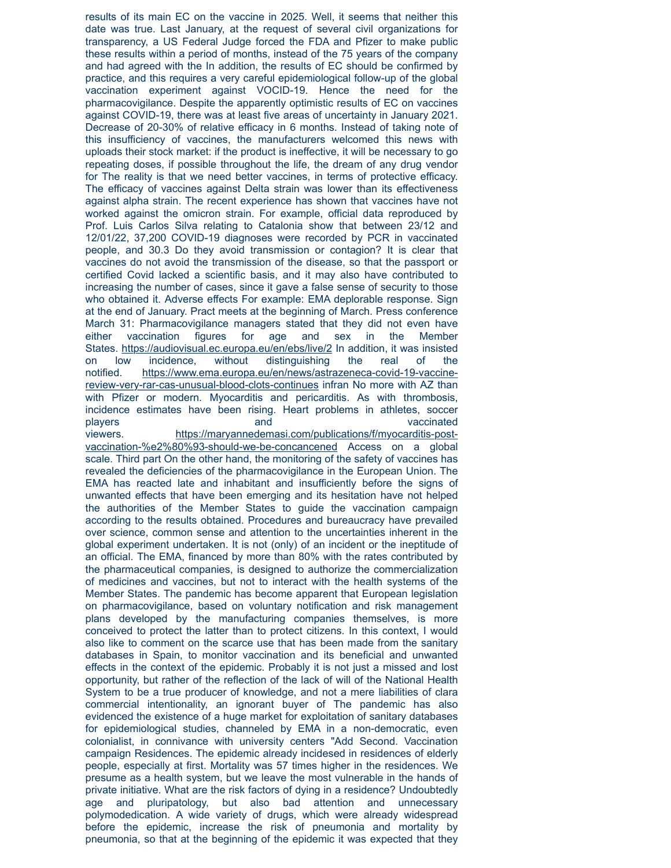results of its main EC on the vaccine in 2025. Well, it seems that neither this date was true. Last January, at the request of several civil organizations for transparency, a US Federal Judge forced the FDA and Pfizer to make public these results within a period of months, instead of the 75 years of the company and had agreed with the In addition, the results of EC should be confirmed by practice, and this requires a very careful epidemiological follow-up of the global vaccination experiment against VOCID-19. Hence the need for the pharmacovigilance. Despite the apparently optimistic results of EC on vaccines against COVID-19, there was at least five areas of uncertainty in January 2021. Decrease of 20-30% of relative efficacy in 6 months. Instead of taking note of this insufficiency of vaccines, the manufacturers welcomed this news with uploads their stock market: if the product is ineffective, it will be necessary to go repeating doses, if possible throughout the life, the dream of any drug vendor for The reality is that we need better vaccines, in terms of protective efficacy. The efficacy of vaccines against Delta strain was lower than its effectiveness against alpha strain. The recent experience has shown that vaccines have not worked against the omicron strain. For example, official data reproduced by Prof. Luis Carlos Silva relating to Catalonia show that between 23/12 and 12/01/22, 37,200 COVID-19 diagnoses were recorded by PCR in vaccinated people, and 30.3 Do they avoid transmission or contagion? It is clear that vaccines do not avoid the transmission of the disease, so that the passport or certified Covid lacked a scientific basis, and it may also have contributed to increasing the number of cases, since it gave a false sense of security to those who obtained it. Adverse effects For example: EMA deplorable response. Sign at the end of January. Pract meets at the beginning of March. Press conference March 31: Pharmacovigilance managers stated that they did not even have either vaccination figures for age and sex in the Member States. [https://audiovisual.ec.europa.eu/en/ebs/live/2](https://audiovisual.ec.europa.eu/en/ebs/live/2%20/t%20_blank) In addition, it was insisted on low incidence, without distinguishing the real of the [notified. https://www.ema.europa.eu/en/news/astrazeneca-covid-19-vaccine](https://www.ema.europa.eu/en/news/astrazeneca-covid-19-vaccine-review-very-rar-cas-unusual-blood-clots-continues%20/t%20_blank)review-very-rar-cas-unusual-blood-clots-continues infran No more with AZ than with Pfizer or modern. Myocarditis and pericarditis. As with thrombosis, incidence estimates have been rising. Heart problems in athletes, soccer players and and vaccinated players and players and vaccinated vaccinated vaccinated vaccinated vaccinated vaccinated vaccinated vaccinated vaccinated vaccinated vaccinated vaccinated vaccinated vaccinated vaccinated vaccin [viewers. https://maryannedemasi.com/publications/f/myocarditis-post](https://maryannedemasi.com/publications/f/myocarditis-post-vaccination-%e2%80%93-should-we-be-concancened%20/t%20_blank)vaccination-%e2%80%93-should-we-be-concancened Access on a global scale. Third part On the other hand, the monitoring of the safety of vaccines has revealed the deficiencies of the pharmacovigilance in the European Union. The EMA has reacted late and inhabitant and insufficiently before the signs of unwanted effects that have been emerging and its hesitation have not helped the authorities of the Member States to guide the vaccination campaign according to the results obtained. Procedures and bureaucracy have prevailed over science, common sense and attention to the uncertainties inherent in the global experiment undertaken. It is not (only) of an incident or the ineptitude of an official. The EMA, financed by more than 80% with the rates contributed by the pharmaceutical companies, is designed to authorize the commercialization of medicines and vaccines, but not to interact with the health systems of the Member States. The pandemic has become apparent that European legislation on pharmacovigilance, based on voluntary notification and risk management plans developed by the manufacturing companies themselves, is more conceived to protect the latter than to protect citizens. In this context, I would also like to comment on the scarce use that has been made from the sanitary databases in Spain, to monitor vaccination and its beneficial and unwanted effects in the context of the epidemic. Probably it is not just a missed and lost opportunity, but rather of the reflection of the lack of will of the National Health System to be a true producer of knowledge, and not a mere liabilities of clara commercial intentionality, an ignorant buyer of The pandemic has also evidenced the existence of a huge market for exploitation of sanitary databases for epidemiological studies, channeled by EMA in a non-democratic, even colonialist, in connivance with university centers "Add Second. Vaccination campaign Residences. The epidemic already incidesed in residences of elderly people, especially at first. Mortality was 57 times higher in the residences. We presume as a health system, but we leave the most vulnerable in the hands of private initiative. What are the risk factors of dying in a residence? Undoubtedly age and pluripatology, but also bad attention and unnecessary polymodedication. A wide variety of drugs, which were already widespread before the epidemic, increase the risk of pneumonia and mortality by pneumonia, so that at the beginning of the epidemic it was expected that they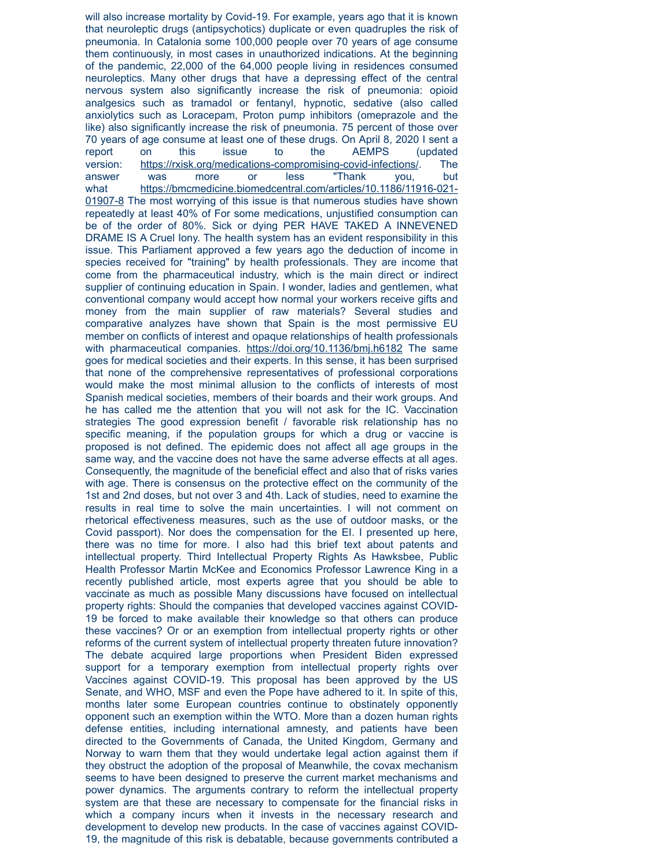will also increase mortality by Covid-19. For example, years ago that it is known that neuroleptic drugs (antipsychotics) duplicate or even quadruples the risk of pneumonia. In Catalonia some 100,000 people over 70 years of age consume them continuously, in most cases in unauthorized indications. At the beginning of the pandemic, 22,000 of the 64,000 people living in residences consumed neuroleptics. Many other drugs that have a depressing effect of the central nervous system also significantly increase the risk of pneumonia: opioid analgesics such as tramadol or fentanyl, hypnotic, sedative (also called anxiolytics such as Loracepam, Proton pump inhibitors (omeprazole and the like) also significantly increase the risk of pneumonia. 75 percent of those over 70 years of age consume at least one of these drugs. On April 8, 2020 I sent a report on this issue to the AEMPS (updated version: [https://rxisk.org/medications-compromising-covid-infections/](https://rxisk.org/medications-compromising-covid-infections/%20/t%20_blank). The answer was more or less "Thank you, but [what https://bmcmedicine.biomedcentral.com/articles/10.1186/11916-021-](https://bmcmedicine.biomedcentral.com/articles/10.1186/11916-021-01907-8%20/t%20_blank) 01907-8 The most worrying of this issue is that numerous studies have shown repeatedly at least 40% of For some medications, unjustified consumption can be of the order of 80%. Sick or dying PER HAVE TAKED A INNEVENED DRAME IS A Cruel Iony. The health system has an evident responsibility in this issue. This Parliament approved a few years ago the deduction of income in species received for "training" by health professionals. They are income that come from the pharmaceutical industry, which is the main direct or indirect supplier of continuing education in Spain. I wonder, ladies and gentlemen, what conventional company would accept how normal your workers receive gifts and money from the main supplier of raw materials? Several studies and comparative analyzes have shown that Spain is the most permissive EU member on conflicts of interest and opaque relationships of health professionals with pharmaceutical companies. [https://doi.org/10.1136/bmj.h6182](https://doi.org/10.1136/bmj.h6182%20/t%20_blank) The same goes for medical societies and their experts. In this sense, it has been surprised that none of the comprehensive representatives of professional corporations would make the most minimal allusion to the conflicts of interests of most Spanish medical societies, members of their boards and their work groups. And he has called me the attention that you will not ask for the IC. Vaccination strategies The good expression benefit / favorable risk relationship has no specific meaning, if the population groups for which a drug or vaccine is proposed is not defined. The epidemic does not affect all age groups in the same way, and the vaccine does not have the same adverse effects at all ages. Consequently, the magnitude of the beneficial effect and also that of risks varies with age. There is consensus on the protective effect on the community of the 1st and 2nd doses, but not over 3 and 4th. Lack of studies, need to examine the results in real time to solve the main uncertainties. I will not comment on rhetorical effectiveness measures, such as the use of outdoor masks, or the Covid passport). Nor does the compensation for the EI. I presented up here, there was no time for more. I also had this brief text about patents and intellectual property. Third Intellectual Property Rights As Hawksbee, Public Health Professor Martin McKee and Economics Professor Lawrence King in a recently published article, most experts agree that you should be able to vaccinate as much as possible Many discussions have focused on intellectual property rights: Should the companies that developed vaccines against COVID-19 be forced to make available their knowledge so that others can produce these vaccines? Or or an exemption from intellectual property rights or other reforms of the current system of intellectual property threaten future innovation? The debate acquired large proportions when President Biden expressed support for a temporary exemption from intellectual property rights over Vaccines against COVID-19. This proposal has been approved by the US Senate, and WHO, MSF and even the Pope have adhered to it. In spite of this, months later some European countries continue to obstinately opponently opponent such an exemption within the WTO. More than a dozen human rights defense entities, including international amnesty, and patients have been directed to the Governments of Canada, the United Kingdom, Germany and Norway to warn them that they would undertake legal action against them if they obstruct the adoption of the proposal of Meanwhile, the covax mechanism seems to have been designed to preserve the current market mechanisms and power dynamics. The arguments contrary to reform the intellectual property system are that these are necessary to compensate for the financial risks in which a company incurs when it invests in the necessary research and development to develop new products. In the case of vaccines against COVID-19, the magnitude of this risk is debatable, because governments contributed a